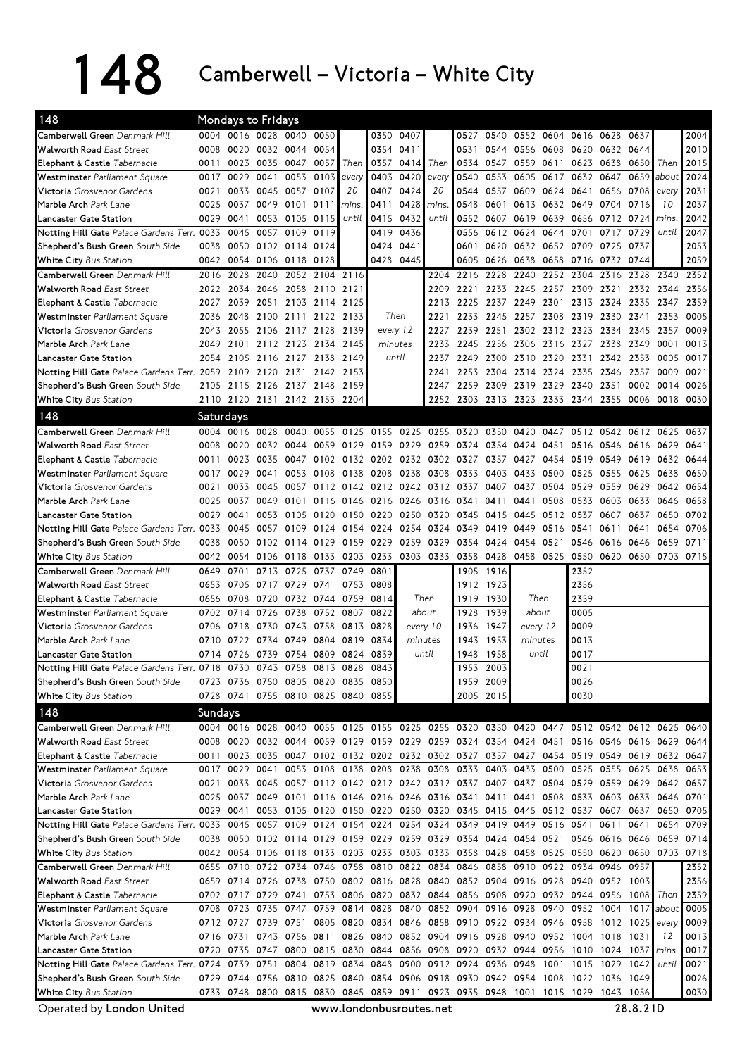## 148 Camberwell – Victoria – White City

| 148                                                                                                |           | <b>Mondays to Fridays</b> |                |                               |                |                                                           |           |                |                                                                                           |                |                |           |                     |                                              |                |                |             |              |
|----------------------------------------------------------------------------------------------------|-----------|---------------------------|----------------|-------------------------------|----------------|-----------------------------------------------------------|-----------|----------------|-------------------------------------------------------------------------------------------|----------------|----------------|-----------|---------------------|----------------------------------------------|----------------|----------------|-------------|--------------|
| Camberwell Green Denmark Hill                                                                      |           | 0004 0016 0028 0040       |                |                               | 0050           |                                                           |           | 0350 0407      |                                                                                           | 0527           | 0540           |           | 0552 0604           | 0616 0628                                    |                | 0637           |             | 2004         |
| <b>Walworth Road East Street</b>                                                                   | 0008      | 0020 0032 0044            |                |                               | 0054           |                                                           | 0354 0411 |                |                                                                                           | 0531           |                | 0544 0556 |                     | 0608 0620 0632 0644                          |                |                |             | 2010         |
| Elephant & Castle Tabernacle                                                                       | 0011      |                           | 0023 0035 0047 |                               | 0057           | Then                                                      | 0357      | 0414           | Then                                                                                      | 0534           | 0547           | 0559      | 0611                | 0623 0638                                    |                | 0650           | Then        | 2015         |
| Westminster Parliament Square                                                                      | 0017      | 0029                      | 0041           | 0053                          | 0103           | every                                                     | 0403      | 0420           | every                                                                                     | 0540           | 0553           | 0605      | 0617                | 0632                                         | 0647           | 0659 about     |             | 2024         |
| Victoria Grosvenor Gardens                                                                         | 0021      |                           | 0033 0045      | 0057                          | 0107           | 20                                                        | 0407      | 0424           | 20                                                                                        | 0544           | 0557           | 0609      | 0624                | 0641                                         | 0656           | 0708           | every       | 2031         |
| Marble Arch Park Lane                                                                              | 0025      | 0037                      | 0049 0101      |                               | 0111           | mins                                                      | 0411      | 0428           | mins.                                                                                     | 0548           | 0601           | 0613      | 0632 0649           |                                              | 0704           | 0716           | 10          | 2037         |
| Lancaster Gate Station                                                                             | 0029      | 0041                      | 0053           | 0105                          | 0115           | until                                                     | 0415      | 0432           | until                                                                                     |                | 0552 0607      | 0619      | 0639                |                                              | 0656 0712 0724 |                | <i>mins</i> | 2042         |
| Notting Hill Gate Palace Gardens Terr. 0033                                                        |           | 0045                      | 0057 0109      |                               | 0119           |                                                           | 0419      | 0436           |                                                                                           | 0556           | 0612           | 0624      | 0644                | 0701                                         | 0717           | 0729           | until       | 2047         |
| Shepherd's Bush Green South Side                                                                   | 0038      | 0050 0102 0114            |                |                               | 0124           |                                                           | 0424      | 0441           |                                                                                           | 0601           |                |           | 0620 0632 0652 0709 |                                              | 0725           | 0737           |             | 2053         |
| White City Bus Station                                                                             |           | 0042 0054 0106 0118       |                |                               | 0128           |                                                           |           | 0428 0445      |                                                                                           | 0605           | 0626 0638      |           |                     | 0658 0716 0732 0744                          |                |                |             | 2059         |
| Camberwell Green Denmark Hill                                                                      | 2016      | 2028                      | 2040           | 2052                          |                | 2104 2116                                                 |           |                | 2204                                                                                      | 2216           | 2228           | 2240      | 2252                | 2304                                         | 2316           | 2328           | 2340        | 2352         |
| <b>Walworth Road East Street</b>                                                                   |           | 2022 2034                 | 2046           |                               | 2058 2110 2121 |                                                           |           |                | 2209                                                                                      | 2221           | 2233 2245      |           |                     | 2257 2309 2321                               |                |                | 2332 2344   | 2356         |
| Elephant & Castle Tabernacle                                                                       | 2027      | 2039                      | 2051           |                               | 2103 2114 2125 |                                                           |           |                | 2213                                                                                      |                | 2225 2237 2249 |           |                     | 2301 2313 2324                               |                | 2335 2347      |             | 2359         |
| Westminster Parliament Square                                                                      | 2036      | 2048                      | 2100           | 2111                          |                | 2122 2133                                                 |           | Then           | 2221                                                                                      | 2233           | 2245 2257      |           | 2308                | 2319 2330                                    |                | 2341           | 2353        | 0005         |
| Victoria Grosvenor Gardens                                                                         | 2043      | 2055                      | 2106           | 2117 2128 2139                |                |                                                           | every 12  |                | 2227                                                                                      |                | 2239 2251      | 2302      |                     | 2312 2323 2334                               |                | 2345           | 2357        | 0009         |
| Marble Arch Park Lane                                                                              | 2049      | 2101                      |                | 2112 2123 2134                |                | 2145                                                      | minutes   |                | 2233                                                                                      | 2245           | 2256 2306      |           | 2316 2327           |                                              | 2338           | 2349           | 0001        | 0013         |
| Lancaster Gate Station                                                                             | 2054      | 2105                      | 2116           | 2127                          | 2138           | 2149                                                      |           | until          | 2237                                                                                      | 2249           | 2300           | 2310      | 2320                | 2331                                         | 2342           | 2353           | 0005        | 0017         |
| Notting Hill Gate Palace Gardens Terr. 2059                                                        |           | 2109                      | 2120           | 2131                          | 2142           | 2153                                                      |           |                | 2241                                                                                      | 2253           | 2304           | 2314      | 2324                | 2335                                         | 2346           | 2357           | 0009        | 0021         |
| Shepherd's Bush Green South Side                                                                   |           |                           |                | 2105 2115 2126 2137 2148 2159 |                |                                                           |           |                | 2247                                                                                      |                | 2259 2309 2319 |           |                     | 2329 2340 2351                               |                |                | 0002 0014   | 0026         |
| <b>White City Bus Station</b>                                                                      |           |                           |                | 2110 2120 2131 2142 2153 2204 |                |                                                           |           |                | 2252                                                                                      |                |                |           |                     | 2303 2313 2323 2333 2344 2355                |                | 0006 0018 0030 |             |              |
| 148                                                                                                | Saturdays |                           |                |                               |                |                                                           |           |                |                                                                                           |                |                |           |                     |                                              |                |                |             |              |
|                                                                                                    |           |                           |                |                               |                |                                                           |           |                |                                                                                           |                |                |           |                     |                                              |                |                |             |              |
| Camberwell Green Denmark Hill                                                                      |           | 0004 0016 0028            |                | 0040                          | 0055           | 0125                                                      | 0155      |                | 0225 0255                                                                                 | 0320           | 0350           | 0420      | 0447                |                                              | 0512 0542      | 0612           | 0625        | 0637         |
| <b>Walworth Road East Street</b>                                                                   | 0008      | 0020                      | 0032           | 0044                          |                | 0059 0129                                                 |           | 0159 0229 0259 |                                                                                           | 0324 0354 0424 |                |           | 0451                |                                              | 0516 0546      | 0616 0629      |             | 0641         |
| Elephant & Castle Tabernacle                                                                       | 0011      | 0023                      | 0035           | 0047                          |                | 0102 0132 0202 0232 0302                                  |           |                |                                                                                           | 0327           | 0357           | 0427      | 0454                |                                              | 0519 0549      |                | 0619 0632   | 0644         |
| Westminster Parliament Square                                                                      | 0017      | 0029                      | 0041           | 0053                          | 0108           | 0138                                                      | 0208      | 0238           | 0308                                                                                      | 0333           | 0403           | 0433      | 0500                | 0525                                         | 0555           | 0625           | 0638        | 0650         |
| Victoria Grosvenor Gardens                                                                         | 0021      | 0033                      | 0045           | 0057                          |                | 0112 0142 0212 0242 0312                                  |           |                |                                                                                           | 0337           | 0407           | 0437      | 0504 0529           |                                              | 0559           | 0629           | 0642        | 0654         |
| Marble Arch Park Lane                                                                              | 0025      | 0037                      | 0049           | 0101                          |                | 0116 0146                                                 |           | 0216 0246 0316 |                                                                                           | 0341           | 0411           | 0441      | 0508                | 0533                                         | 0603           | 0633           | 0646        | 0658         |
| Lancaster Gate Station                                                                             | 0029      | 0041                      | 0053           | 0105                          |                | 0120 0150                                                 | 0220      |                | 0250 0320                                                                                 | 0345           | 0415           | 0445      | 0512                | 0537                                         | 0607           | 0637           | 0650        | 0702         |
| Notting Hill Gate Palace Gardens Terr. 0033                                                        |           | 0045                      | 0057           | 0109                          | 0124           | 0154                                                      | 0224      | 0254           | 0324                                                                                      | 0349           | 0419           | 0449      | 0516                | 0541                                         | 0611           | 0641           | 0654        | 0706         |
| Shepherd's Bush Green South Side                                                                   | 0038      |                           |                | 0050 0102 0114 0129 0159      |                |                                                           | 0229      | 0259 0329      |                                                                                           |                | 0354 0424      | 0454      | 0521                | 0546 0616                                    |                | 0646           | 0659        | 0711         |
| <b>White City Bus Station</b>                                                                      | 0042      |                           |                |                               |                | 0054 0106 0118 0133 0203 0233                             |           | 0303 0333      |                                                                                           |                |                |           |                     | 0358 0428 0458 0525 0550 0620 0650 0703 0715 |                |                |             |              |
|                                                                                                    |           |                           |                |                               |                |                                                           |           |                |                                                                                           |                |                |           |                     |                                              |                |                |             |              |
| Camberwell Green Denmark Hill                                                                      | 0649      | 0701                      | 0713           | 0725                          | 0737           | 0749                                                      | 0801      |                |                                                                                           | 1905           | 1916           |           |                     | 2352                                         |                |                |             |              |
| <b>Walworth Road East Street</b>                                                                   | 0653      | 0705                      | 0717           | 0729                          |                | 0741 0753                                                 | 0808      |                |                                                                                           |                | 1912 1923      |           |                     | 2356                                         |                |                |             |              |
| Elephant & Castle Tabernacle                                                                       | 0656      | 0708                      | 0720           | 0732                          | 0744           | 0759                                                      | 0814      |                | Then                                                                                      | 1919           | 1930           | Then      |                     | 2359                                         |                |                |             |              |
| Westminster Parliament Square                                                                      | 0702      | 0714                      | 0726           | 0738                          | 0752           | 0807                                                      | 0822      |                | about                                                                                     | 1928           | 1939           |           | about               | 0005                                         |                |                |             |              |
| Victoria Grosvenor Gardens                                                                         | 0706      | 0718 0730                 |                |                               |                | 0743 0758 0813                                            | 0828      |                | every 10                                                                                  | 1936           | 1947           | every 12  |                     | 0009                                         |                |                |             |              |
| Marble Arch Park Lane                                                                              | 0710      | 0722 0734                 |                | 0749                          |                | 0804 0819                                                 | 0834      | minutes        |                                                                                           | 1943           | 1953           |           | minutes             | 0013                                         |                |                |             |              |
| Lancaster Gate Station                                                                             | 0714      | 0726                      | 0739           | 0754                          |                | 0809 0824                                                 | 0839      |                | until                                                                                     | 1948           | 1958           |           | until               | 0017                                         |                |                |             |              |
| Notting Hill Gate Palace Gardens Terr. 0718 0730 0743 0758                                         |           |                           |                |                               |                | 0813 0828                                                 | 0843      |                |                                                                                           |                | 1953 2003      |           |                     | 0021                                         |                |                |             |              |
| Shepherd's Bush Green South Side                                                                   |           |                           |                |                               |                | 0723 0736 0750 0805 0820 0835 0850                        |           |                |                                                                                           |                | 1959 2009      |           |                     | 0026                                         |                |                |             |              |
| <b>White City Bus Station</b>                                                                      |           |                           |                |                               |                | 0728 0741 0755 0810 0825 0840 0855                        |           |                |                                                                                           |                | 2005 2015      |           |                     | 0030                                         |                |                |             |              |
| 148                                                                                                | Sundays   |                           |                |                               |                |                                                           |           |                |                                                                                           |                |                |           |                     |                                              |                |                |             |              |
| Camberwell Green Denmark Hill                                                                      |           |                           |                |                               |                |                                                           |           |                | 0004 0016 0028 0040 0055 0125 0155 0225 0255 0320 0350 0420 0447 0512 0542 0612 0625 0640 |                |                |           |                     |                                              |                |                |             |              |
| <b>Walworth Road East Street</b>                                                                   |           |                           |                |                               |                |                                                           |           |                | 0008 0020 0032 0044 0059 0129 0159 0229 0259 0324 0354 0424 0451 0516 0546 0616 0629 0644 |                |                |           |                     |                                              |                |                |             |              |
| Elephant & Castle Tabernacle                                                                       | 0011      | 0023                      |                |                               |                |                                                           |           |                | 0035 0047 0102 0132 0202 0232 0302 0327 0357 0427 0454 0519 0549 0619 0632 0647           |                |                |           |                     |                                              |                |                |             |              |
| Westminster Parliament Square                                                                      |           | 0017 0029                 | 0041           |                               |                | 0053 0108 0138 0208 0238 0308                             |           |                |                                                                                           |                |                |           |                     | 0333 0403 0433 0500 0525 0555                |                | 0625 0638      |             | 0653         |
| <b>Victoria</b> Grosvenor Gardens                                                                  | 0021      |                           | 0033 0045      |                               |                |                                                           |           |                | 0057 0112 0142 0212 0242 0312 0337 0407 0437 0504 0529 0559 0629 0642                     |                |                |           |                     |                                              |                |                |             | 0657         |
| Marble Arch Park Lane                                                                              |           | 0025 0037                 |                |                               |                |                                                           |           |                | 0049 0101 0116 0146 0216 0246 0316 0341 0411 0441                                         |                |                |           |                     | 0508 0533 0603 0633 0646                     |                |                |             | 0701         |
| Lancaster Gate Station                                                                             |           | 0029 0041                 |                |                               |                |                                                           |           |                | 0053 0105 0120 0150 0220 0250 0320 0345 0415 0445 0512 0537 0607 0637 0650                |                |                |           |                     |                                              |                |                |             | 0705         |
| Notting Hill Gate Palace Gardens Terr. 0033 0045 0057 0109 0124 0154 0224 0254 0324 0349 0419 0449 |           |                           |                |                               |                |                                                           |           |                |                                                                                           |                |                |           | 0516 0541           |                                              | 0611           | 0641           | 0654        | 0709         |
| Shepherd's Bush Green South Side                                                                   |           |                           |                |                               |                |                                                           |           |                | 0038 0050 0102 0114 0129 0159 0229 0259 0329 0354 0424 0454                               |                |                |           |                     | 0521 0546 0616 0646 0659 0714                |                |                |             |              |
| White City Bus Station                                                                             |           |                           |                |                               |                |                                                           |           |                | 0042 0054 0106 0118 0133 0203 0233 0303 0333 0358 0428 0458 0525 0550 0620 0650 0703 0718 |                |                |           |                     |                                              |                |                |             |              |
| Camberwell Green Denmark Hill                                                                      |           |                           |                |                               |                | 0655 0710 0722 0734 0746 0758 0810 0822 0834              |           |                |                                                                                           |                |                |           |                     | 0846 0858 0910 0922 0934 0946                |                | 0957           |             | 2352         |
| <b>Walworth Road East Street</b>                                                                   |           |                           |                |                               |                | 0659 0714 0726 0738 0750 0802 0816 0828 0840              |           |                |                                                                                           |                |                |           |                     | 0852 0904 0916 0928 0940 0952 1003           |                |                |             | 2356         |
| Elephant & Castle Tabernacle                                                                       |           |                           |                | 0702 0717 0729 0741           |                |                                                           |           |                | 0753 0806 0820 0832 0844 0856 0908 0920 0932 0944 0956                                    |                |                |           |                     |                                              |                | 1008 Then      |             | 2359         |
| Westminster Parliament Square                                                                      |           |                           |                |                               |                |                                                           |           |                | 0708 0723 0735 0747 0759 0814 0828 0840 0852 0904 0916 0928 0940 0952 1004                |                |                |           |                     |                                              |                | 1017 about     |             | 0005         |
| Victoria Grosvenor Gardens                                                                         |           |                           |                |                               |                |                                                           |           |                | 0712 0727 0739 0751 0805 0820 0834 0846 0858 0910 0922 0934 0946 0958 1012 1025 every     |                |                |           |                     |                                              |                |                |             | 0009         |
| Marble Arch Park Lane                                                                              |           | 0716 0731                 |                |                               |                |                                                           |           |                | 0743 0756 0811 0826 0840 0852 0904 0916 0928 0940                                         |                |                |           |                     | 0952 1004 1018                               |                | 1031           | 12          | 0013         |
| Lancaster Gate Station                                                                             |           |                           |                |                               |                |                                                           |           |                |                                                                                           |                |                |           |                     |                                              |                |                | mins.       |              |
|                                                                                                    |           |                           |                |                               |                | 0720 0735 0747 0800 0815 0830 0844<br>0804 0819 0834 0848 |           |                | 0856 0908 0920 0932 0944 0956 1010 1024 1037<br>0900 0912 0924 0936 0948                  |                |                |           | 1001                |                                              | 1015 1029      | 1042           | until       | 0017         |
| Notting Hill Gate Palace Gardens Terr. 0724 0739 0751                                              |           |                           |                |                               |                |                                                           |           |                |                                                                                           |                |                |           |                     | 1008 1022 1036 1049                          |                |                |             | 0021         |
| Shepherd's Bush Green South Side                                                                   |           |                           |                |                               |                | 0729 0744 0756 0810 0825 0840 0854 0906 0918              |           |                |                                                                                           | 0930 0942 0954 |                |           |                     |                                              |                |                |             |              |
| <b>White City Bus Station</b><br>Operated by London United                                         |           |                           |                |                               |                | www.londonbusroutes.net                                   |           |                | 0733 0748 0800 0815 0830 0845 0859 0911 0923 0935 0948 1001 1015 1029 1043 1056           |                |                |           |                     |                                              |                | 28.8.21D       |             | 0026<br>0030 |